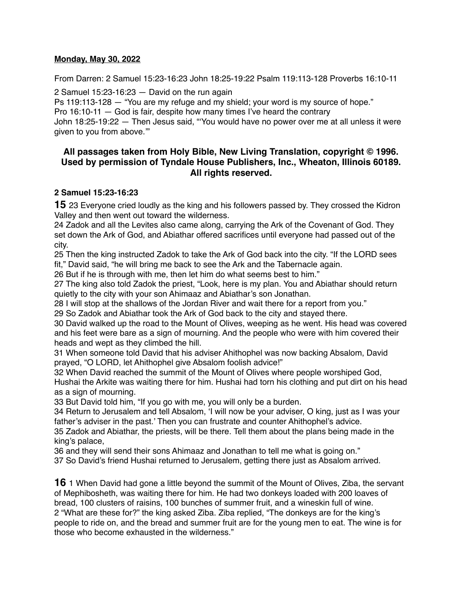#### **Monday, May 30, 2022**

From Darren: 2 Samuel 15:23-16:23 John 18:25-19:22 Psalm 119:113-128 Proverbs 16:10-11

2 Samuel  $15:23-16:23$  - David on the run again

Ps 119:113-128 — "You are my refuge and my shield; your word is my source of hope."

Pro 16:10-11 — God is fair, despite how many times I've heard the contrary

John 18:25-19:22 — Then Jesus said, "'You would have no power over me at all unless it were given to you from above.'"

# **All passages taken from Holy Bible, [New Living Translation](http://www.newlivingtranslation.com/), copyright © 1996. Used by permission of [Tyndale House Publishers](http://tyndale.com/), Inc., Wheaton, Illinois 60189. All rights reserved.**

## **2 Samuel 15:23-16:23**

**15** 23 Everyone cried loudly as the king and his followers passed by. They crossed the Kidron Valley and then went out toward the wilderness.

24 Zadok and all the Levites also came along, carrying the Ark of the Covenant of God. They set down the Ark of God, and Abiathar offered sacrifices until everyone had passed out of the city.

25 Then the king instructed Zadok to take the Ark of God back into the city. "If the LORD sees fit," David said, "he will bring me back to see the Ark and the Tabernacle again.

26 But if he is through with me, then let him do what seems best to him."

27 The king also told Zadok the priest, "Look, here is my plan. You and Abiathar should return quietly to the city with your son Ahimaaz and Abiathar's son Jonathan.

28 I will stop at the shallows of the Jordan River and wait there for a report from you."

29 So Zadok and Abiathar took the Ark of God back to the city and stayed there.

30 David walked up the road to the Mount of Olives, weeping as he went. His head was covered and his feet were bare as a sign of mourning. And the people who were with him covered their heads and wept as they climbed the hill.

31 When someone told David that his adviser Ahithophel was now backing Absalom, David prayed, "O LORD, let Ahithophel give Absalom foolish advice!"

32 When David reached the summit of the Mount of Olives where people worshiped God, Hushai the Arkite was waiting there for him. Hushai had torn his clothing and put dirt on his head as a sign of mourning.

33 But David told him, "If you go with me, you will only be a burden.

34 Return to Jerusalem and tell Absalom, 'I will now be your adviser, O king, just as I was your father's adviser in the past.' Then you can frustrate and counter Ahithophel's advice.

35 Zadok and Abiathar, the priests, will be there. Tell them about the plans being made in the king's palace,

36 and they will send their sons Ahimaaz and Jonathan to tell me what is going on."

37 So David's friend Hushai returned to Jerusalem, getting there just as Absalom arrived.

**16** 1 When David had gone a little beyond the summit of the Mount of Olives, Ziba, the servant of Mephibosheth, was waiting there for him. He had two donkeys loaded with 200 loaves of bread, 100 clusters of raisins, 100 bunches of summer fruit, and a wineskin full of wine. 2 "What are these for?" the king asked Ziba. Ziba replied, "The donkeys are for the king's people to ride on, and the bread and summer fruit are for the young men to eat. The wine is for those who become exhausted in the wilderness."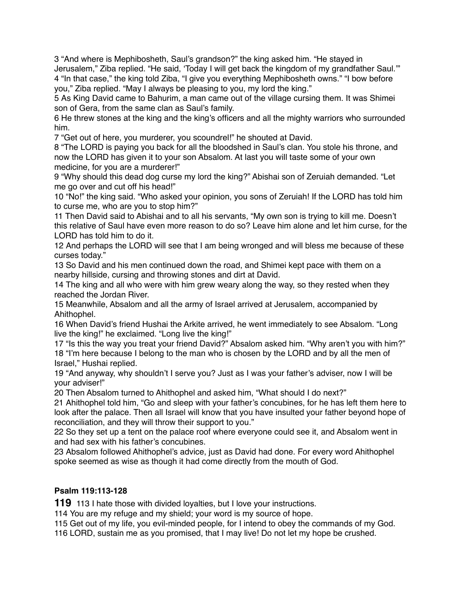3 "And where is Mephibosheth, Saul's grandson?" the king asked him. "He stayed in Jerusalem," Ziba replied. "He said, 'Today I will get back the kingdom of my grandfather Saul.'" 4 "In that case," the king told Ziba, "I give you everything Mephibosheth owns." "I bow before you," Ziba replied. "May I always be pleasing to you, my lord the king."

5 As King David came to Bahurim, a man came out of the village cursing them. It was Shimei son of Gera, from the same clan as Saul's family.

6 He threw stones at the king and the king's officers and all the mighty warriors who surrounded him.

7 "Get out of here, you murderer, you scoundrel!" he shouted at David.

8 "The LORD is paying you back for all the bloodshed in Saul's clan. You stole his throne, and now the LORD has given it to your son Absalom. At last you will taste some of your own medicine, for you are a murderer!"

9 "Why should this dead dog curse my lord the king?" Abishai son of Zeruiah demanded. "Let me go over and cut off his head!"

10 "No!" the king said. "Who asked your opinion, you sons of Zeruiah! If the LORD has told him to curse me, who are you to stop him?"

11 Then David said to Abishai and to all his servants, "My own son is trying to kill me. Doesn't this relative of Saul have even more reason to do so? Leave him alone and let him curse, for the LORD has told him to do it.

12 And perhaps the LORD will see that I am being wronged and will bless me because of these curses today."

13 So David and his men continued down the road, and Shimei kept pace with them on a nearby hillside, cursing and throwing stones and dirt at David.

14 The king and all who were with him grew weary along the way, so they rested when they reached the Jordan River.

15 Meanwhile, Absalom and all the army of Israel arrived at Jerusalem, accompanied by Ahithophel.

16 When David's friend Hushai the Arkite arrived, he went immediately to see Absalom. "Long live the king!" he exclaimed. "Long live the king!"

17 "Is this the way you treat your friend David?" Absalom asked him. "Why aren't you with him?" 18 "I'm here because I belong to the man who is chosen by the LORD and by all the men of Israel," Hushai replied.

19 "And anyway, why shouldn't I serve you? Just as I was your father's adviser, now I will be your adviser!"

20 Then Absalom turned to Ahithophel and asked him, "What should I do next?"

21 Ahithophel told him, "Go and sleep with your father's concubines, for he has left them here to look after the palace. Then all Israel will know that you have insulted your father beyond hope of reconciliation, and they will throw their support to you."

22 So they set up a tent on the palace roof where everyone could see it, and Absalom went in and had sex with his father's concubines.

23 Absalom followed Ahithophel's advice, just as David had done. For every word Ahithophel spoke seemed as wise as though it had come directly from the mouth of God.

# **Psalm 119:113-128**

**119** 113 I hate those with divided loyalties, but I love your instructions.

114 You are my refuge and my shield; your word is my source of hope.

115 Get out of my life, you evil-minded people, for I intend to obey the commands of my God. 116 LORD, sustain me as you promised, that I may live! Do not let my hope be crushed.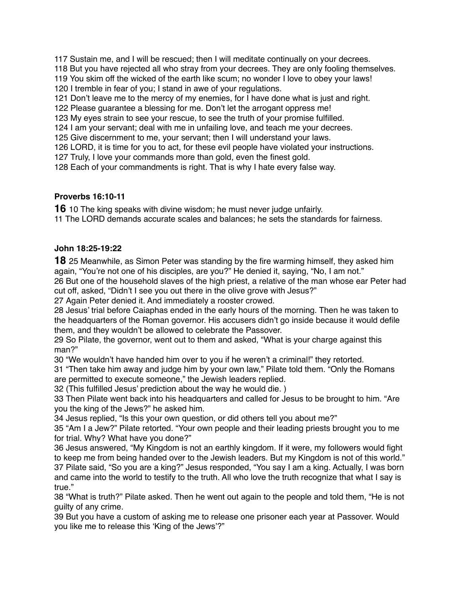Sustain me, and I will be rescued; then I will meditate continually on your decrees.

But you have rejected all who stray from your decrees. They are only fooling themselves.

 You skim off the wicked of the earth like scum; no wonder I love to obey your laws! I tremble in fear of you; I stand in awe of your regulations.

Don't leave me to the mercy of my enemies, for I have done what is just and right.

Please guarantee a blessing for me. Don't let the arrogant oppress me!

My eyes strain to see your rescue, to see the truth of your promise fulfilled.

I am your servant; deal with me in unfailing love, and teach me your decrees.

Give discernment to me, your servant; then I will understand your laws.

LORD, it is time for you to act, for these evil people have violated your instructions.

Truly, I love your commands more than gold, even the finest gold.

Each of your commandments is right. That is why I hate every false way.

## **Proverbs 16:10-11**

10 The king speaks with divine wisdom; he must never judge unfairly. The LORD demands accurate scales and balances; he sets the standards for fairness.

**John 18:25-19:22**

25 Meanwhile, as Simon Peter was standing by the fire warming himself, they asked him again, "You're not one of his disciples, are you?" He denied it, saying, "No, I am not."

 But one of the household slaves of the high priest, a relative of the man whose ear Peter had cut off, asked, "Didn't I see you out there in the olive grove with Jesus?"

Again Peter denied it. And immediately a rooster crowed.

 Jesus' trial before Caiaphas ended in the early hours of the morning. Then he was taken to the headquarters of the Roman governor. His accusers didn't go inside because it would defile them, and they wouldn't be allowed to celebrate the Passover.

 So Pilate, the governor, went out to them and asked, "What is your charge against this man?"

"We wouldn't have handed him over to you if he weren't a criminal!" they retorted.

 "Then take him away and judge him by your own law," Pilate told them. "Only the Romans are permitted to execute someone," the Jewish leaders replied.

(This fulfilled Jesus' prediction about the way he would die. )

 Then Pilate went back into his headquarters and called for Jesus to be brought to him. "Are you the king of the Jews?" he asked him.

Jesus replied, "Is this your own question, or did others tell you about me?"

 "Am I a Jew?" Pilate retorted. "Your own people and their leading priests brought you to me for trial. Why? What have you done?"

 Jesus answered, "My Kingdom is not an earthly kingdom. If it were, my followers would fight to keep me from being handed over to the Jewish leaders. But my Kingdom is not of this world." Pilate said, "So you are a king?" Jesus responded, "You say I am a king. Actually, I was born and came into the world to testify to the truth. All who love the truth recognize that what I say is true."

 "What is truth?" Pilate asked. Then he went out again to the people and told them, "He is not guilty of any crime.

 But you have a custom of asking me to release one prisoner each year at Passover. Would you like me to release this 'King of the Jews'?"